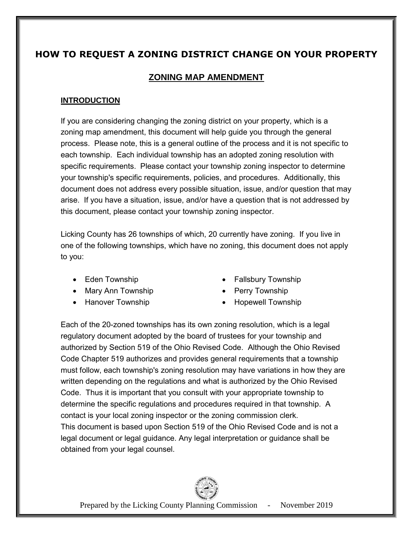# **HOW TO REQUEST A ZONING DISTRICT CHANGE ON YOUR PROPERTY**

# **ZONING MAP AMENDMENT**

# **INTRODUCTION**

If you are considering changing the zoning district on your property, which is a zoning map amendment, this document will help guide you through the general process. Please note, this is a general outline of the process and it is not specific to each township. Each individual township has an adopted zoning resolution with specific requirements. Please contact your township zoning inspector to determine your township's specific requirements, policies, and procedures. Additionally, this document does not address every possible situation, issue, and/or question that may arise. If you have a situation, issue, and/or have a question that is not addressed by this document, please contact your township zoning inspector.

Licking County has 26 townships of which, 20 currently have zoning. If you live in one of the following townships, which have no zoning, this document does not apply to you:

- 
- Mary Ann Township Perry Township
- 
- Eden Township **Fallsbury Township** Fallsbury Township
	-
- Hanover Township **Constant Constant Constant Provide** Hopewell Township

Each of the 20-zoned townships has its own zoning resolution, which is a legal regulatory document adopted by the board of trustees for your township and authorized by Section 519 of the Ohio Revised Code. Although the Ohio Revised Code Chapter 519 authorizes and provides general requirements that a township must follow, each township's zoning resolution may have variations in how they are written depending on the regulations and what is authorized by the Ohio Revised Code. Thus it is important that you consult with your appropriate township to determine the specific regulations and procedures required in that township. A contact is your local zoning inspector or the zoning commission clerk. This document is based upon Section 519 of the Ohio Revised Code and is not a legal document or legal guidance. Any legal interpretation or guidance shall be obtained from your legal counsel.

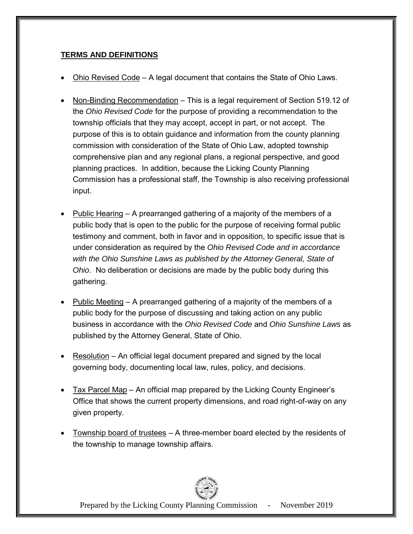# **TERMS AND DEFINITIONS**

- Ohio Revised Code A legal document that contains the State of Ohio Laws.
- Non-Binding Recommendation This is a legal requirement of Section 519.12 of the *Ohio Revised Code* for the purpose of providing a recommendation to the township officials that they may accept, accept in part, or not accept. The purpose of this is to obtain guidance and information from the county planning commission with consideration of the State of Ohio Law, adopted township comprehensive plan and any regional plans, a regional perspective, and good planning practices. In addition, because the Licking County Planning Commission has a professional staff, the Township is also receiving professional input.
- Public Hearing A prearranged gathering of a majority of the members of a public body that is open to the public for the purpose of receiving formal public testimony and comment, both in favor and in opposition, to specific issue that is under consideration as required by the *Ohio Revised Code and in accordance with the Ohio Sunshine Laws as published by the Attorney General, State of Ohio*. No deliberation or decisions are made by the public body during this gathering.
- Public Meeting A prearranged gathering of a majority of the members of a public body for the purpose of discussing and taking action on any public business in accordance with the *Ohio Revised Code* and *Ohio Sunshine Laws* as published by the Attorney General, State of Ohio.
- **•** Resolution An official legal document prepared and signed by the local governing body, documenting local law, rules, policy, and decisions.
- Tax Parcel Map An official map prepared by the Licking County Engineer's Office that shows the current property dimensions, and road right-of-way on any given property.
- Township board of trustees A three-member board elected by the residents of the township to manage township affairs.

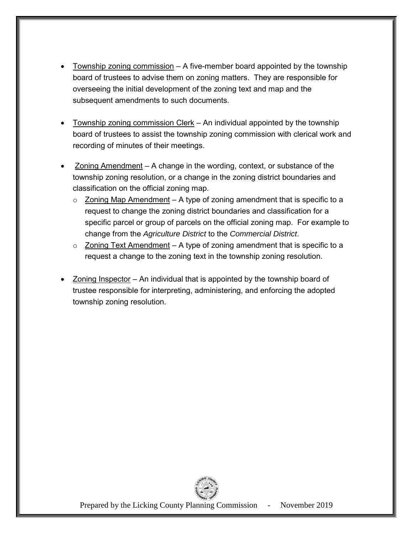- Township zoning commission A five-member board appointed by the township board of trustees to advise them on zoning matters. They are responsible for overseeing the initial development of the zoning text and map and the subsequent amendments to such documents.
- Township zoning commission Clerk An individual appointed by the township board of trustees to assist the township zoning commission with clerical work and recording of minutes of their meetings.
- Zoning Amendment A change in the wording, context, or substance of the township zoning resolution, or a change in the zoning district boundaries and classification on the official zoning map.
	- $\circ$  Zoning Map Amendment A type of zoning amendment that is specific to a request to change the zoning district boundaries and classification for a specific parcel or group of parcels on the official zoning map. For example to change from the *Agriculture District* to the *Commercial District*.
	- $\circ$  Zoning Text Amendment A type of zoning amendment that is specific to a request a change to the zoning text in the township zoning resolution.
- Zoning Inspector An individual that is appointed by the township board of trustee responsible for interpreting, administering, and enforcing the adopted township zoning resolution.

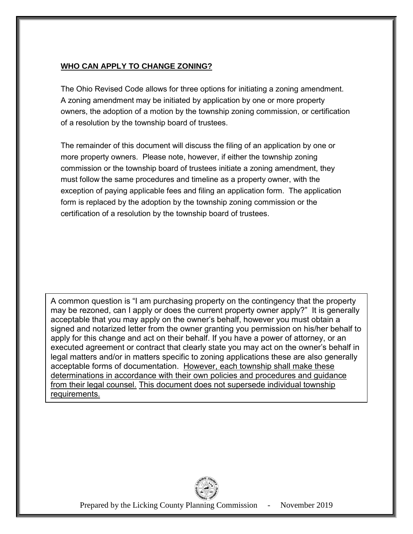# **WHO CAN APPLY TO CHANGE ZONING?**

The Ohio Revised Code allows for three options for initiating a zoning amendment. A zoning amendment may be initiated by application by one or more property owners, the adoption of a motion by the township zoning commission, or certification of a resolution by the township board of trustees.

The remainder of this document will discuss the filing of an application by one or more property owners. Please note, however, if either the township zoning commission or the township board of trustees initiate a zoning amendment, they must follow the same procedures and timeline as a property owner, with the exception of paying applicable fees and filing an application form. The application form is replaced by the adoption by the township zoning commission or the certification of a resolution by the township board of trustees.

A common question is "I am purchasing property on the contingency that the property may be rezoned, can I apply or does the current property owner apply?" It is generally acceptable that you may apply on the owner's behalf, however you must obtain a signed and notarized letter from the owner granting you permission on his/her behalf to apply for this change and act on their behalf. If you have a power of attorney, or an executed agreement or contract that clearly state you may act on the owner's behalf in legal matters and/or in matters specific to zoning applications these are also generally acceptable forms of documentation. However, each township shall make these determinations in accordance with their own policies and procedures and guidance from their legal counsel. This document does not supersede individual township requirements.

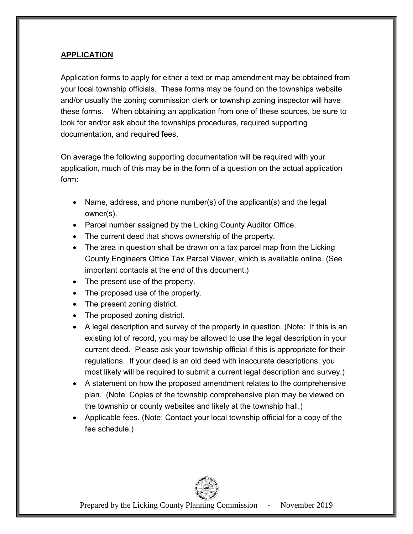# **APPLICATION**

Application forms to apply for either a text or map amendment may be obtained from your local township officials. These forms may be found on the townships website and/or usually the zoning commission clerk or township zoning inspector will have these forms. When obtaining an application from one of these sources, be sure to look for and/or ask about the townships procedures, required supporting documentation, and required fees.

On average the following supporting documentation will be required with your application, much of this may be in the form of a question on the actual application form:

- Name, address, and phone number(s) of the applicant(s) and the legal owner(s).
- Parcel number assigned by the Licking County Auditor Office.
- The current deed that shows ownership of the property.
- The area in question shall be drawn on a tax parcel map from the Licking County Engineers Office Tax Parcel Viewer, which is available online. (See important contacts at the end of this document.)
- The present use of the property.
- The proposed use of the property.
- The present zoning district.
- The proposed zoning district.
- A legal description and survey of the property in question. (Note: If this is an existing lot of record, you may be allowed to use the legal description in your current deed. Please ask your township official if this is appropriate for their regulations. If your deed is an old deed with inaccurate descriptions, you most likely will be required to submit a current legal description and survey.)
- A statement on how the proposed amendment relates to the comprehensive plan. (Note: Copies of the township comprehensive plan may be viewed on the township or county websites and likely at the township hall.)
- Applicable fees. (Note: Contact your local township official for a copy of the fee schedule.)

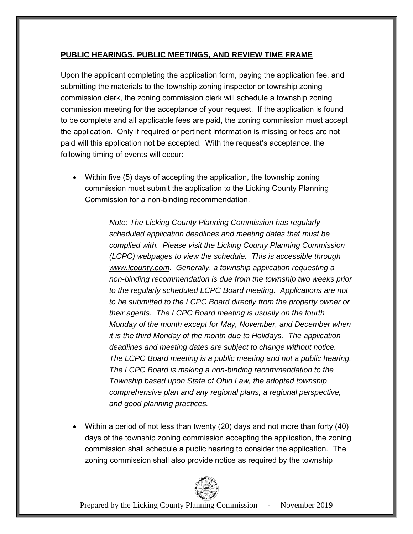# **PUBLIC HEARINGS, PUBLIC MEETINGS, AND REVIEW TIME FRAME**

Upon the applicant completing the application form, paying the application fee, and submitting the materials to the township zoning inspector or township zoning commission clerk, the zoning commission clerk will schedule a township zoning commission meeting for the acceptance of your request. If the application is found to be complete and all applicable fees are paid, the zoning commission must accept the application. Only if required or pertinent information is missing or fees are not paid will this application not be accepted. With the request's acceptance, the following timing of events will occur:

• Within five (5) days of accepting the application, the township zoning commission must submit the application to the Licking County Planning Commission for a non-binding recommendation.

> *Note: The Licking County Planning Commission has regularly scheduled application deadlines and meeting dates that must be complied with. Please visit the Licking County Planning Commission (LCPC) webpages to view the schedule. This is accessible through [www.lcounty.com.](http://www.lcounty.com/) Generally, a township application requesting a non-binding recommendation is due from the township two weeks prior to the regularly scheduled LCPC Board meeting. Applications are not to be submitted to the LCPC Board directly from the property owner or their agents. The LCPC Board meeting is usually on the fourth Monday of the month except for May, November, and December when it is the third Monday of the month due to Holidays. The application deadlines and meeting dates are subject to change without notice. The LCPC Board meeting is a public meeting and not a public hearing. The LCPC Board is making a non-binding recommendation to the Township based upon State of Ohio Law, the adopted township comprehensive plan and any regional plans, a regional perspective, and good planning practices.*

 Within a period of not less than twenty (20) days and not more than forty (40) days of the township zoning commission accepting the application, the zoning commission shall schedule a public hearing to consider the application. The zoning commission shall also provide notice as required by the township

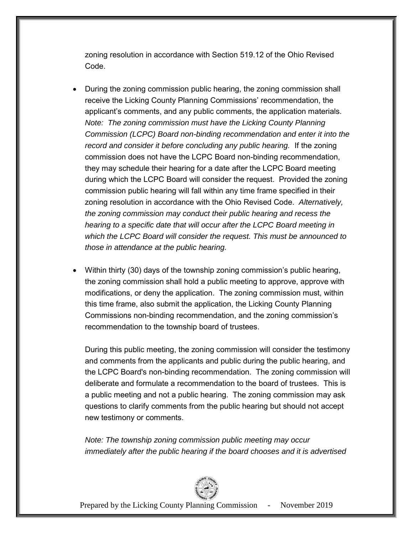zoning resolution in accordance with Section 519.12 of the Ohio Revised Code.

- During the zoning commission public hearing, the zoning commission shall receive the Licking County Planning Commissions' recommendation, the applicant's comments, and any public comments, the application materials. *Note: The zoning commission must have the Licking County Planning Commission (LCPC) Board non-binding recommendation and enter it into the record and consider it before concluding any public hearing.* If the zoning commission does not have the LCPC Board non-binding recommendation, they may schedule their hearing for a date after the LCPC Board meeting during which the LCPC Board will consider the request. Provided the zoning commission public hearing will fall within any time frame specified in their zoning resolution in accordance with the Ohio Revised Code. *Alternatively, the zoning commission may conduct their public hearing and recess the hearing to a specific date that will occur after the LCPC Board meeting in which the LCPC Board will consider the request. This must be announced to those in attendance at the public hearing.*
- Within thirty (30) days of the township zoning commission's public hearing, the zoning commission shall hold a public meeting to approve, approve with modifications, or deny the application. The zoning commission must, within this time frame, also submit the application, the Licking County Planning Commissions non-binding recommendation, and the zoning commission's recommendation to the township board of trustees.

During this public meeting, the zoning commission will consider the testimony and comments from the applicants and public during the public hearing, and the LCPC Board's non-binding recommendation. The zoning commission will deliberate and formulate a recommendation to the board of trustees. This is a public meeting and not a public hearing. The zoning commission may ask questions to clarify comments from the public hearing but should not accept new testimony or comments.

*Note: The township zoning commission public meeting may occur immediately after the public hearing if the board chooses and it is advertised* 

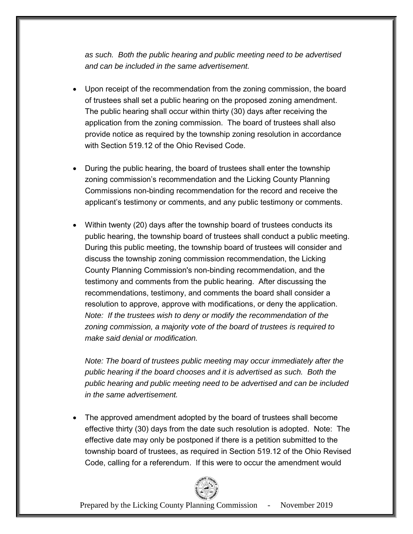*as such. Both the public hearing and public meeting need to be advertised and can be included in the same advertisement.* 

- Upon receipt of the recommendation from the zoning commission, the board of trustees shall set a public hearing on the proposed zoning amendment. The public hearing shall occur within thirty (30) days after receiving the application from the zoning commission. The board of trustees shall also provide notice as required by the township zoning resolution in accordance with Section 519.12 of the Ohio Revised Code.
- During the public hearing, the board of trustees shall enter the township zoning commission's recommendation and the Licking County Planning Commissions non-binding recommendation for the record and receive the applicant's testimony or comments, and any public testimony or comments.
- Within twenty (20) days after the township board of trustees conducts its public hearing, the township board of trustees shall conduct a public meeting. During this public meeting, the township board of trustees will consider and discuss the township zoning commission recommendation, the Licking County Planning Commission's non-binding recommendation, and the testimony and comments from the public hearing. After discussing the recommendations, testimony, and comments the board shall consider a resolution to approve, approve with modifications, or deny the application. *Note: If the trustees wish to deny or modify the recommendation of the zoning commission, a majority vote of the board of trustees is required to make said denial or modification.*

*Note: The board of trustees public meeting may occur immediately after the public hearing if the board chooses and it is advertised as such. Both the public hearing and public meeting need to be advertised and can be included in the same advertisement.* 

 The approved amendment adopted by the board of trustees shall become effective thirty (30) days from the date such resolution is adopted. Note: The effective date may only be postponed if there is a petition submitted to the township board of trustees, as required in Section 519.12 of the Ohio Revised Code, calling for a referendum. If this were to occur the amendment would

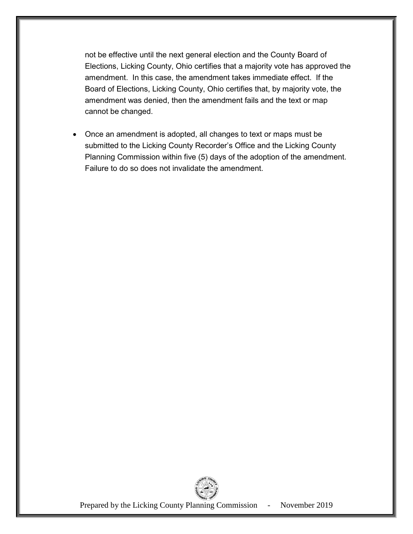not be effective until the next general election and the County Board of Elections, Licking County, Ohio certifies that a majority vote has approved the amendment. In this case, the amendment takes immediate effect. If the Board of Elections, Licking County, Ohio certifies that, by majority vote, the amendment was denied, then the amendment fails and the text or map cannot be changed.

 Once an amendment is adopted, all changes to text or maps must be submitted to the Licking County Recorder's Office and the Licking County Planning Commission within five (5) days of the adoption of the amendment. Failure to do so does not invalidate the amendment.

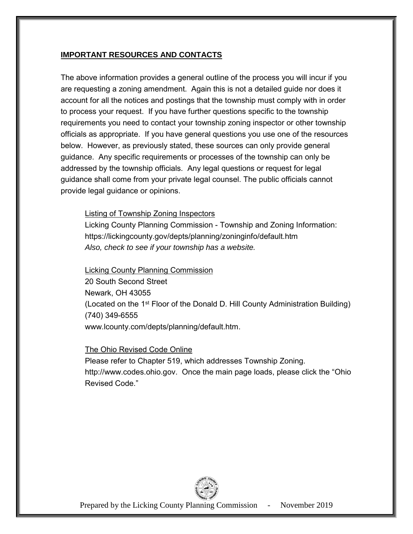#### **IMPORTANT RESOURCES AND CONTACTS**

The above information provides a general outline of the process you will incur if you are requesting a zoning amendment. Again this is not a detailed guide nor does it account for all the notices and postings that the township must comply with in order to process your request. If you have further questions specific to the township requirements you need to contact your township zoning inspector or other township officials as appropriate. If you have general questions you use one of the resources below. However, as previously stated, these sources can only provide general guidance. Any specific requirements or processes of the township can only be addressed by the township officials. Any legal questions or request for legal guidance shall come from your private legal counsel. The public officials cannot provide legal guidance or opinions.

#### Listing of Township Zoning Inspectors

Licking County Planning Commission - Township and Zoning Information: https://lickingcounty.gov/depts/planning/zoninginfo/default.htm *Also, check to see if your township has a website.* 

#### Licking County Planning Commission

20 South Second Street Newark, OH 43055 (Located on the 1<sup>st</sup> Floor of the Donald D. Hill County Administration Building) (740) 349-6555 [www.lcounty.com/depts/planning/default.htm.](http://www.lcounty.com/depts/planning/default.htm)

# The Ohio Revised Code Online

Please refer to Chapter 519, which addresses Township Zoning. [http://www.codes.ohio.gov.](http://www.codes.ohio.gov/) Once the main page loads, please click the "Ohio Revised Code."